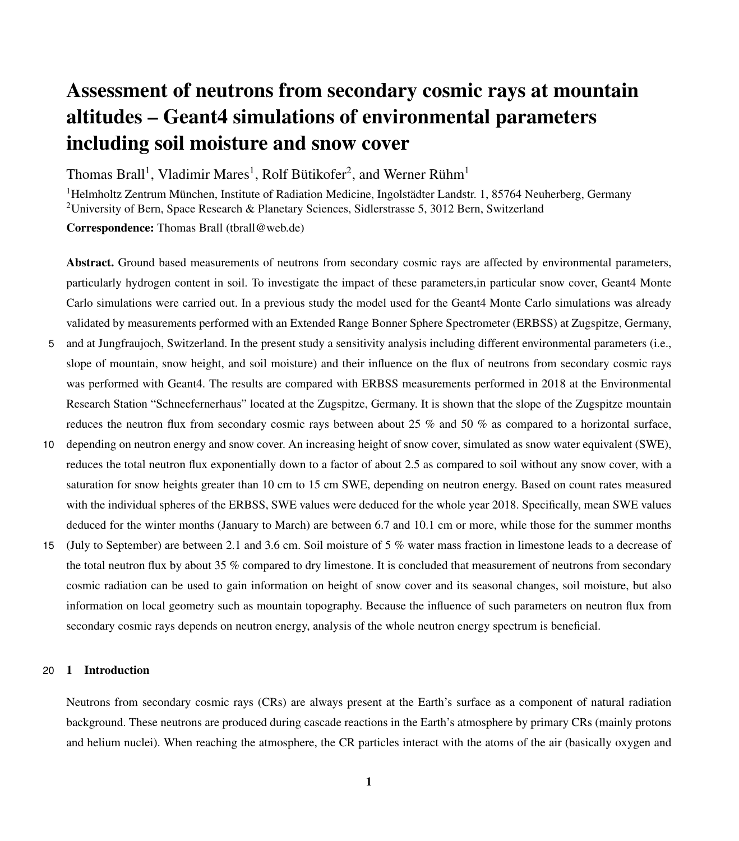# Assessment of neutrons from secondary cosmic rays at mountain altitudes – Geant4 simulations of environmental parameters including soil moisture and snow cover

Thomas Brall<sup>1</sup>, Vladimir Mares<sup>1</sup>, Rolf Bütikofer<sup>2</sup>, and Werner Rühm<sup>1</sup>

<sup>1</sup>Helmholtz Zentrum München, Institute of Radiation Medicine, Ingolstädter Landstr. 1, 85764 Neuherberg, Germany <sup>2</sup>University of Bern, Space Research & Planetary Sciences, Sidlerstrasse 5, 3012 Bern, Switzerland Correspondence: Thomas Brall (tbrall@web.de)

Abstract. Ground based measurements of neutrons from secondary cosmic rays are affected by environmental parameters, particularly hydrogen content in soil. To investigate the impact of these parameters,in particular snow cover, Geant4 Monte Carlo simulations were carried out. In a previous study the model used for the Geant4 Monte Carlo simulations was already validated by measurements performed with an Extended Range Bonner Sphere Spectrometer (ERBSS) at Zugspitze, Germany,

- 5 and at Jungfraujoch, Switzerland. In the present study a sensitivity analysis including different environmental parameters (i.e., slope of mountain, snow height, and soil moisture) and their influence on the flux of neutrons from secondary cosmic rays was performed with Geant4. The results are compared with ERBSS measurements performed in 2018 at the Environmental Research Station "Schneefernerhaus" located at the Zugspitze, Germany. It is shown that the slope of the Zugspitze mountain reduces the neutron flux from secondary cosmic rays between about 25 % and 50 % as compared to a horizontal surface,
- 10 depending on neutron energy and snow cover. An increasing height of snow cover, simulated as snow water equivalent (SWE), reduces the total neutron flux exponentially down to a factor of about 2.5 as compared to soil without any snow cover, with a saturation for snow heights greater than 10 cm to 15 cm SWE, depending on neutron energy. Based on count rates measured with the individual spheres of the ERBSS, SWE values were deduced for the whole year 2018. Specifically, mean SWE values deduced for the winter months (January to March) are between 6.7 and 10.1 cm or more, while those for the summer months
- 15 (July to September) are between 2.1 and 3.6 cm. Soil moisture of 5 % water mass fraction in limestone leads to a decrease of the total neutron flux by about 35 % compared to dry limestone. It is concluded that measurement of neutrons from secondary cosmic radiation can be used to gain information on height of snow cover and its seasonal changes, soil moisture, but also information on local geometry such as mountain topography. Because the influence of such parameters on neutron flux from secondary cosmic rays depends on neutron energy, analysis of the whole neutron energy spectrum is beneficial.

## 20 1 Introduction

Neutrons from secondary cosmic rays (CRs) are always present at the Earth's surface as a component of natural radiation background. These neutrons are produced during cascade reactions in the Earth's atmosphere by primary CRs (mainly protons and helium nuclei). When reaching the atmosphere, the CR particles interact with the atoms of the air (basically oxygen and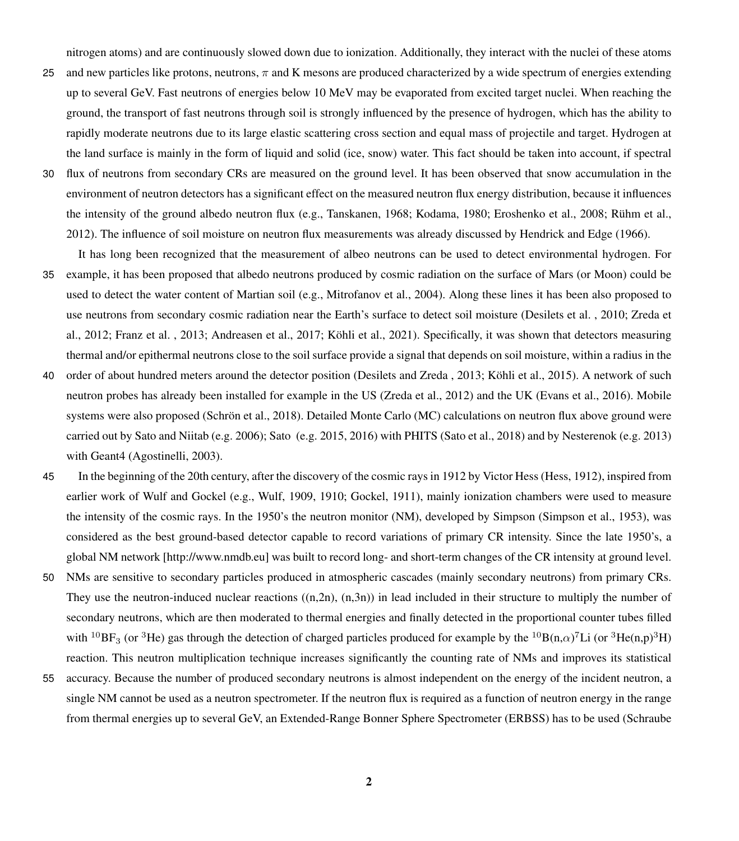nitrogen atoms) and are continuously slowed down due to ionization. Additionally, they interact with the nuclei of these atoms

- 25 and new particles like protons, neutrons,  $\pi$  and K mesons are produced characterized by a wide spectrum of energies extending up to several GeV. Fast neutrons of energies below 10 MeV may be evaporated from excited target nuclei. When reaching the ground, the transport of fast neutrons through soil is strongly influenced by the presence of hydrogen, which has the ability to rapidly moderate neutrons due to its large elastic scattering cross section and equal mass of projectile and target. Hydrogen at the land surface is mainly in the form of liquid and solid (ice, snow) water. This fact should be taken into account, if spectral
- 30 flux of neutrons from secondary CRs are measured on the ground level. It has been observed that snow accumulation in the environment of neutron detectors has a significant effect on the measured neutron flux energy distribution, because it influences the intensity of the ground albedo neutron flux (e.g., [Tanskanen, 1968;](#page-18-0) [Kodama, 1980;](#page-16-0) [Eroshenko et al., 2008;](#page-16-1) [Rühm et al.,](#page-17-0) [2012\)](#page-17-0). The influence of soil moisture on neutron flux measurements was already discussed by [Hendrick and Edge](#page-16-2) [\(1966\)](#page-16-2).
- It has long been recognized that the measurement of albeo neutrons can be used to detect environmental hydrogen. For 35 example, it has been proposed that albedo neutrons produced by cosmic radiation on the surface of Mars (or Moon) could be used to detect the water content of Martian soil (e.g., [Mitrofanov et al., 2004\)](#page-17-1). Along these lines it has been also proposed to [u](#page-18-1)se neutrons from secondary cosmic radiation near the Earth's surface to detect soil moisture [\(Desilets et al. , 2010;](#page-16-3) [Zreda et](#page-18-1) [al., 2012;](#page-18-1) [Franz et al. , 2013;](#page-16-4) [Andreasen et al., 2017;](#page-16-5) [Köhli et al., 2021\)](#page-17-2). Specifically, it was shown that detectors measuring thermal and/or epithermal neutrons close to the soil surface provide a signal that depends on soil moisture, within a radius in the
- 40 order of about hundred meters around the detector position [\(Desilets and Zreda , 2013;](#page-16-6) [Köhli et al., 2015\)](#page-17-3). A network of such neutron probes has already been installed for example in the US [\(Zreda et al., 2012\)](#page-18-1) and the UK [\(Evans et al., 2016\)](#page-16-7). Mobile systems were also proposed [\(Schrön et al., 2018\)](#page-18-2). Detailed Monte Carlo (MC) calculations on neutron flux above ground were carried out by [Sato and Niitab](#page-17-4) (e.g. [2006\)](#page-17-4); [Sato](#page-17-5) (e.g. [2015,](#page-17-5) [2016\)](#page-17-6) with PHITS [\(Sato et al., 2018\)](#page-17-7) and by [Nesterenok](#page-17-8) (e.g. [2013\)](#page-17-8) with Geant4 [\(Agostinelli, 2003\)](#page-16-8).
- 45 In the beginning of the 20th century, after the discovery of the cosmic rays in 1912 by Victor Hess [\(Hess, 1912\)](#page-16-9), inspired from earlier work of Wulf and Gockel (e.g., [Wulf, 1909,](#page-18-3) [1910;](#page-18-4) [Gockel, 1911\)](#page-16-10), mainly ionization chambers were used to measure the intensity of the cosmic rays. In the 1950's the neutron monitor (NM), developed by Simpson [\(Simpson et al., 1953\)](#page-18-5), was considered as the best ground-based detector capable to record variations of primary CR intensity. Since the late 1950's, a global NM network [http://www.nmdb.eu] was built to record long- and short-term changes of the CR intensity at ground level.
- 50 NMs are sensitive to secondary particles produced in atmospheric cascades (mainly secondary neutrons) from primary CRs. They use the neutron-induced nuclear reactions  $((n,2n), (n,3n))$  in lead included in their structure to multiply the number of secondary neutrons, which are then moderated to thermal energies and finally detected in the proportional counter tubes filled with <sup>10</sup>BF<sub>3</sub> (or <sup>3</sup>He) gas through the detection of charged particles produced for example by the <sup>10</sup>B(n, $\alpha$ )<sup>7</sup>Li (or <sup>3</sup>He(n,p)<sup>3</sup>H) reaction. This neutron multiplication technique increases significantly the counting rate of NMs and improves its statistical
- 55 accuracy. Because the number of produced secondary neutrons is almost independent on the energy of the incident neutron, a single NM cannot be used as a neutron spectrometer. If the neutron flux is required as a function of neutron energy in the range [f](#page-17-9)rom thermal energies up to several GeV, an Extended-Range Bonner Sphere Spectrometer (ERBSS) has to be used [\(Schraube](#page-17-9)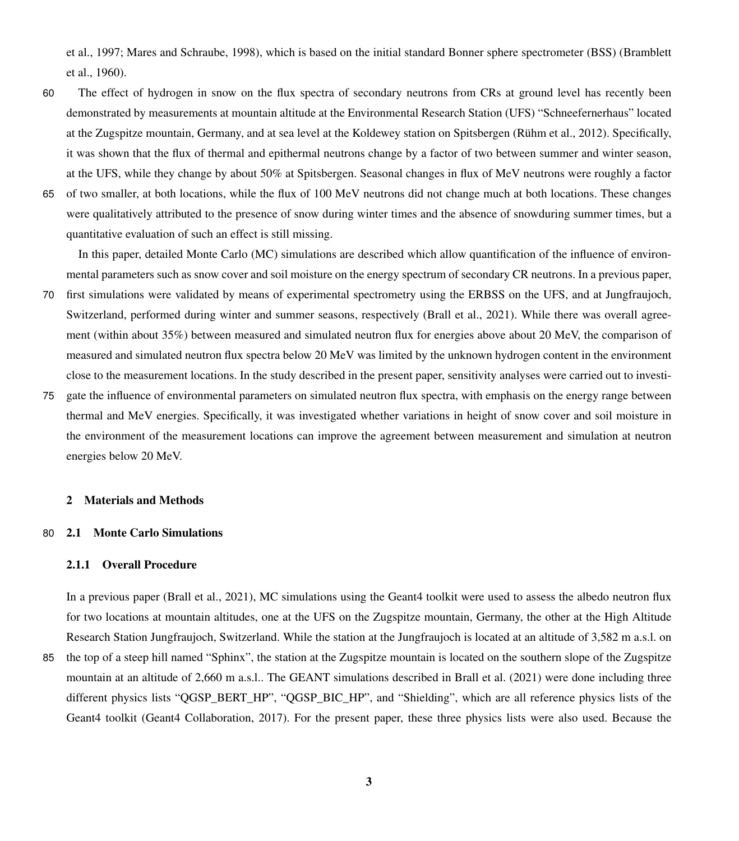[et al., 1997;](#page-17-9) [Mares and Schraube, 1998\)](#page-17-10), which is based on the initial standard Bonner sphere spectrometer (BSS) [\(Bramblett](#page-16-11) [et al., 1960\)](#page-16-11).

- 60 The effect of hydrogen in snow on the flux spectra of secondary neutrons from CRs at ground level has recently been demonstrated by measurements at mountain altitude at the Environmental Research Station (UFS) "Schneefernerhaus" located at the Zugspitze mountain, Germany, and at sea level at the Koldewey station on Spitsbergen [\(Rühm et al., 2012\)](#page-17-0). Specifically, it was shown that the flux of thermal and epithermal neutrons change by a factor of two between summer and winter season, at the UFS, while they change by about 50% at Spitsbergen. Seasonal changes in flux of MeV neutrons were roughly a factor
- 65 of two smaller, at both locations, while the flux of 100 MeV neutrons did not change much at both locations. These changes were qualitatively attributed to the presence of snow during winter times and the absence of snowduring summer times, but a quantitative evaluation of such an effect is still missing.

In this paper, detailed Monte Carlo (MC) simulations are described which allow quantification of the influence of environmental parameters such as snow cover and soil moisture on the energy spectrum of secondary CR neutrons. In a previous paper,

- 70 first simulations were validated by means of experimental spectrometry using the ERBSS on the UFS, and at Jungfraujoch, Switzerland, performed during winter and summer seasons, respectively [\(Brall et al., 2021\)](#page-16-12). While there was overall agreement (within about 35%) between measured and simulated neutron flux for energies above about 20 MeV, the comparison of measured and simulated neutron flux spectra below 20 MeV was limited by the unknown hydrogen content in the environment close to the measurement locations. In the study described in the present paper, sensitivity analyses were carried out to investi-
- 75 gate the influence of environmental parameters on simulated neutron flux spectra, with emphasis on the energy range between thermal and MeV energies. Specifically, it was investigated whether variations in height of snow cover and soil moisture in the environment of the measurement locations can improve the agreement between measurement and simulation at neutron energies below 20 MeV.

## 2 Materials and Methods

## 80 2.1 Monte Carlo Simulations

## 2.1.1 Overall Procedure

In a previous paper [\(Brall et al., 2021\)](#page-16-12), MC simulations using the Geant4 toolkit were used to assess the albedo neutron flux for two locations at mountain altitudes, one at the UFS on the Zugspitze mountain, Germany, the other at the High Altitude Research Station Jungfraujoch, Switzerland. While the station at the Jungfraujoch is located at an altitude of 3,582 m a.s.l. on

85 the top of a steep hill named "Sphinx", the station at the Zugspitze mountain is located on the southern slope of the Zugspitze mountain at an altitude of 2,660 m a.s.l.. The GEANT simulations described in [Brall et al.](#page-16-12) [\(2021\)](#page-16-12) were done including three different physics lists "QGSP\_BERT\_HP", "QGSP\_BIC\_HP", and "Shielding", which are all reference physics lists of the Geant4 toolkit [\(Geant4 Collaboration, 2017\)](#page-16-13). For the present paper, these three physics lists were also used. Because the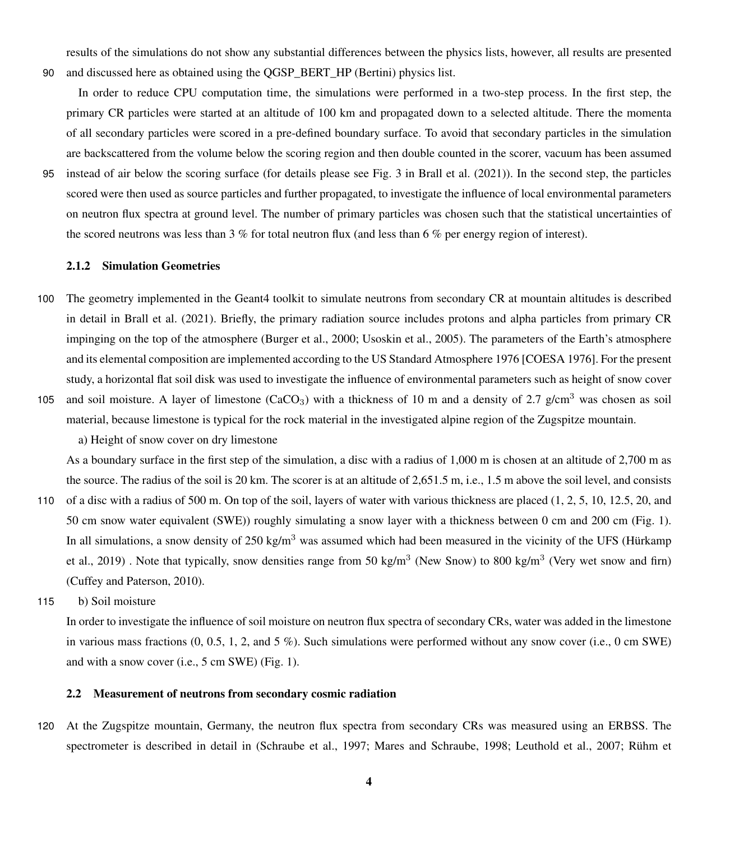results of the simulations do not show any substantial differences between the physics lists, however, all results are presented 90 and discussed here as obtained using the QGSP\_BERT\_HP (Bertini) physics list.

In order to reduce CPU computation time, the simulations were performed in a two-step process. In the first step, the primary CR particles were started at an altitude of 100 km and propagated down to a selected altitude. There the momenta of all secondary particles were scored in a pre-defined boundary surface. To avoid that secondary particles in the simulation are backscattered from the volume below the scoring region and then double counted in the scorer, vacuum has been assumed

95 instead of air below the scoring surface (for details please see Fig. 3 in [Brall et al.](#page-16-12) [\(2021\)](#page-16-12)). In the second step, the particles scored were then used as source particles and further propagated, to investigate the influence of local environmental parameters on neutron flux spectra at ground level. The number of primary particles was chosen such that the statistical uncertainties of the scored neutrons was less than 3 % for total neutron flux (and less than 6 % per energy region of interest).

## 2.1.2 Simulation Geometries

- 100 The geometry implemented in the Geant4 toolkit to simulate neutrons from secondary CR at mountain altitudes is described in detail in [Brall et al.](#page-16-12) [\(2021\)](#page-16-12). Briefly, the primary radiation source includes protons and alpha particles from primary CR impinging on the top of the atmosphere [\(Burger et al., 2000;](#page-16-14) [Usoskin et al., 2005\)](#page-18-6). The parameters of the Earth's atmosphere and its elemental composition are implemented according to the US Standard Atmosphere 1976 [COESA 1976]. For the present study, a horizontal flat soil disk was used to investigate the influence of environmental parameters such as height of snow cover
- 105 and soil moisture. A layer of limestone  $(CaCO<sub>3</sub>)$  with a thickness of 10 m and a density of 2.7 g/cm<sup>3</sup> was chosen as soil material, because limestone is typical for the rock material in the investigated alpine region of the Zugspitze mountain.

a) Height of snow cover on dry limestone

As a boundary surface in the first step of the simulation, a disc with a radius of 1,000 m is chosen at an altitude of 2,700 m as the source. The radius of the soil is 20 km. The scorer is at an altitude of 2,651.5 m, i.e., 1.5 m above the soil level, and consists

- 110 of a disc with a radius of 500 m. On top of the soil, layers of water with various thickness are placed (1, 2, 5, 10, 12.5, 20, and 50 cm snow water equivalent (SWE)) roughly simulating a snow layer with a thickness between 0 cm and 200 cm (Fig. [1\)](#page-4-0). [I](#page-16-15)n all simulations, a snow density of  $250 \text{ kg/m}^3$  was assumed which had been measured in the vicinity of the UFS [\(Hürkamp](#page-16-15) [et al., 2019\)](#page-16-15). Note that typically, snow densities range from 50 kg/m<sup>3</sup> (New Snow) to 800 kg/m<sup>3</sup> (Very wet snow and firn) [\(Cuffey and Paterson, 2010\)](#page-16-16).
- 115 b) Soil moisture

In order to investigate the influence of soil moisture on neutron flux spectra of secondary CRs, water was added in the limestone in various mass fractions  $(0, 0.5, 1, 2,$  and  $5\%$ ). Such simulations were performed without any snow cover (i.e., 0 cm SWE) and with a snow cover (i.e., 5 cm SWE) (Fig. [1\)](#page-4-0).

#### 2.2 Measurement of neutrons from secondary cosmic radiation

120 At the Zugspitze mountain, Germany, the neutron flux spectra from secondary CRs was measured using an ERBSS. The [s](#page-17-12)pectrometer is described in detail in [\(Schraube et al., 1997;](#page-17-9) [Mares and Schraube, 1998;](#page-17-10) [Leuthold et al., 2007;](#page-17-11) [Rühm et](#page-17-12)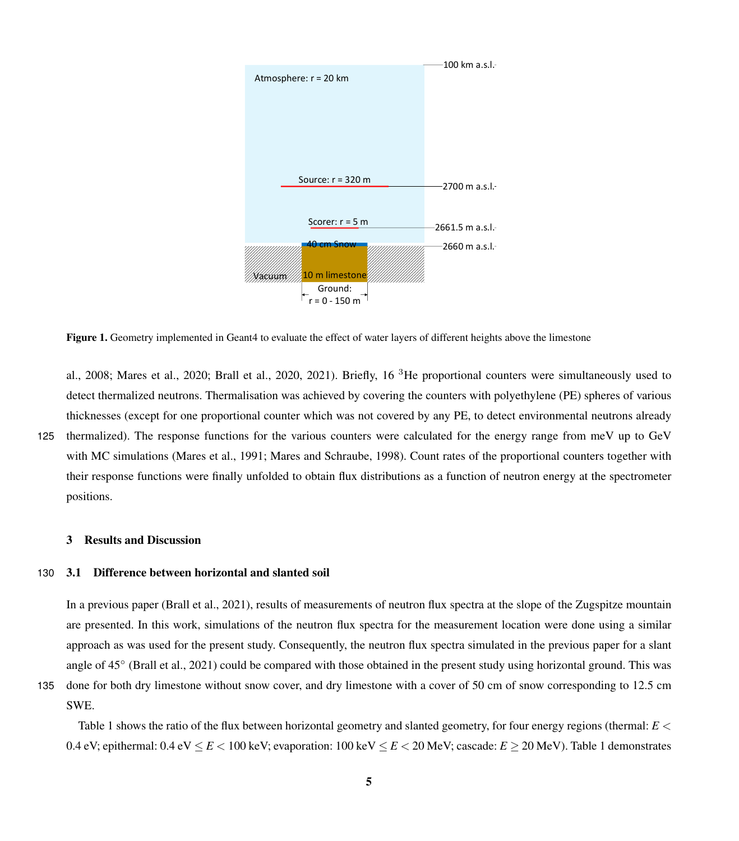<span id="page-4-0"></span>

Figure 1. Geometry implemented in Geant4 to evaluate the effect of water layers of different heights above the limestone

[al., 2008;](#page-17-12) [Mares et al., 2020;](#page-17-13) [Brall et al., 2020,](#page-16-17) [2021\)](#page-16-12). Briefly, 16 <sup>3</sup>He proportional counters were simultaneously used to detect thermalized neutrons. Thermalisation was achieved by covering the counters with polyethylene (PE) spheres of various thicknesses (except for one proportional counter which was not covered by any PE, to detect environmental neutrons already 125 thermalized). The response functions for the various counters were calculated for the energy range from meV up to GeV with MC simulations [\(Mares et al., 1991;](#page-17-14) [Mares and Schraube, 1998\)](#page-17-10). Count rates of the proportional counters together with their response functions were finally unfolded to obtain flux distributions as a function of neutron energy at the spectrometer positions.

#### 3 Results and Discussion

## 130 3.1 Difference between horizontal and slanted soil

In a previous paper [\(Brall et al., 2021\)](#page-16-12), results of measurements of neutron flux spectra at the slope of the Zugspitze mountain are presented. In this work, simulations of the neutron flux spectra for the measurement location were done using a similar approach as was used for the present study. Consequently, the neutron flux spectra simulated in the previous paper for a slant angle of 45° [\(Brall et al., 2021\)](#page-16-12) could be compared with those obtained in the present study using horizontal ground. This was

135 done for both dry limestone without snow cover, and dry limestone with a cover of 50 cm of snow corresponding to 12.5 cm SWE.

Table [1](#page-5-0) shows the ratio of the flux between horizontal geometry and slanted geometry, for four energy regions (thermal: *E* < 0.4 eV; epithermal:  $0.4 \text{ eV} \leq E < 100 \text{ keV}$  $0.4 \text{ eV} \leq E < 100 \text{ keV}$  $0.4 \text{ eV} \leq E < 100 \text{ keV}$ ; evaporation:  $100 \text{ keV} \leq E < 20 \text{ MeV}$ ; cascade:  $E \geq 20 \text{ MeV}$ ). Table 1 demonstrates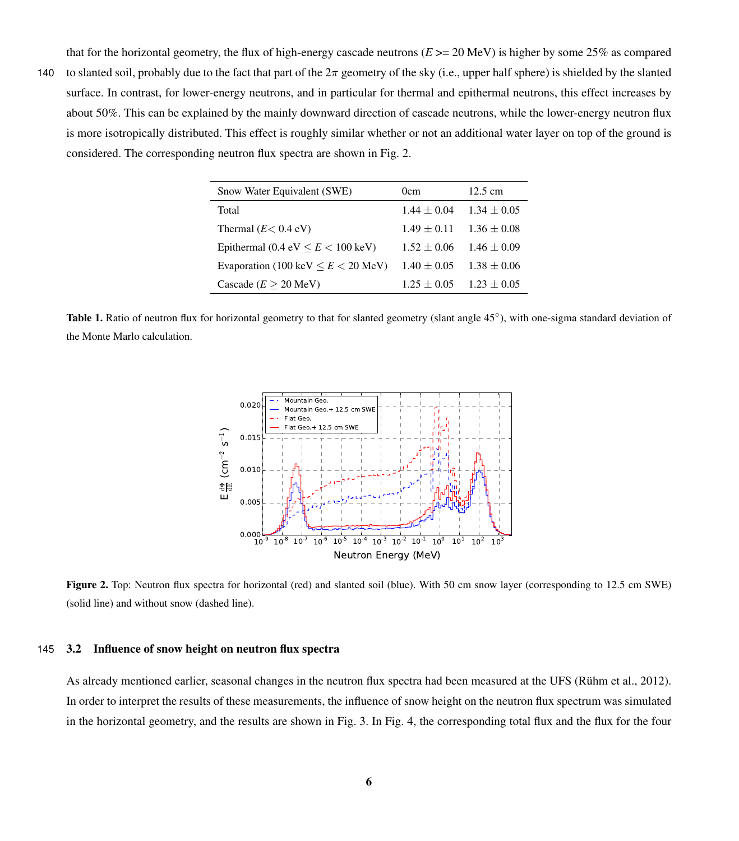that for the horizontal geometry, the flux of high-energy cascade neutrons  $(E \ge 20 \text{ MeV})$  is higher by some 25% as compared

<span id="page-5-0"></span>140 to slanted soil, probably due to the fact that part of the  $2\pi$  geometry of the sky (i.e., upper half sphere) is shielded by the slanted surface. In contrast, for lower-energy neutrons, and in particular for thermal and epithermal neutrons, this effect increases by about 50%. This can be explained by the mainly downward direction of cascade neutrons, while the lower-energy neutron flux is more isotropically distributed. This effect is roughly similar whether or not an additional water layer on top of the ground is considered. The corresponding neutron flux spectra are shown in Fig. [2.](#page-5-1)

| Snow Water Equivalent (SWE)                | 0cm             | $12.5 \text{ cm}$ |
|--------------------------------------------|-----------------|-------------------|
| Total                                      | $1.44 + 0.04$   | $1.34 + 0.05$     |
| Thermal $(E< 0.4$ eV)                      | $1.49 + 0.11$   | $1.36 \pm 0.08$   |
| Epithermal (0.4 eV $\leq E \leq 100$ keV)  | $1.52 + 0.06$   | $1.46 \pm 0.09$   |
| Evaporation (100 keV $\leq E \leq 20$ MeV) | $1.40 \pm 0.05$ | $1.38 + 0.06$     |
| Cascade $(E > 20 \text{ MeV})$             | $1.25 + 0.05$   | $1.23 + 0.05$     |

<span id="page-5-1"></span>Table 1. Ratio of neutron flux for horizontal geometry to that for slanted geometry (slant angle 45°), with one-sigma standard deviation of the Monte Marlo calculation.



Figure 2. Top: Neutron flux spectra for horizontal (red) and slanted soil (blue). With 50 cm snow layer (corresponding to 12.5 cm SWE) (solid line) and without snow (dashed line).

#### 145 3.2 Influence of snow height on neutron flux spectra

As already mentioned earlier, seasonal changes in the neutron flux spectra had been measured at the UFS [\(Rühm et al., 2012\)](#page-17-0). In order to interpret the results of these measurements, the influence of snow height on the neutron flux spectrum was simulated in the horizontal geometry, and the results are shown in Fig. [3.](#page-6-0) In Fig. [4,](#page-7-0) the corresponding total flux and the flux for the four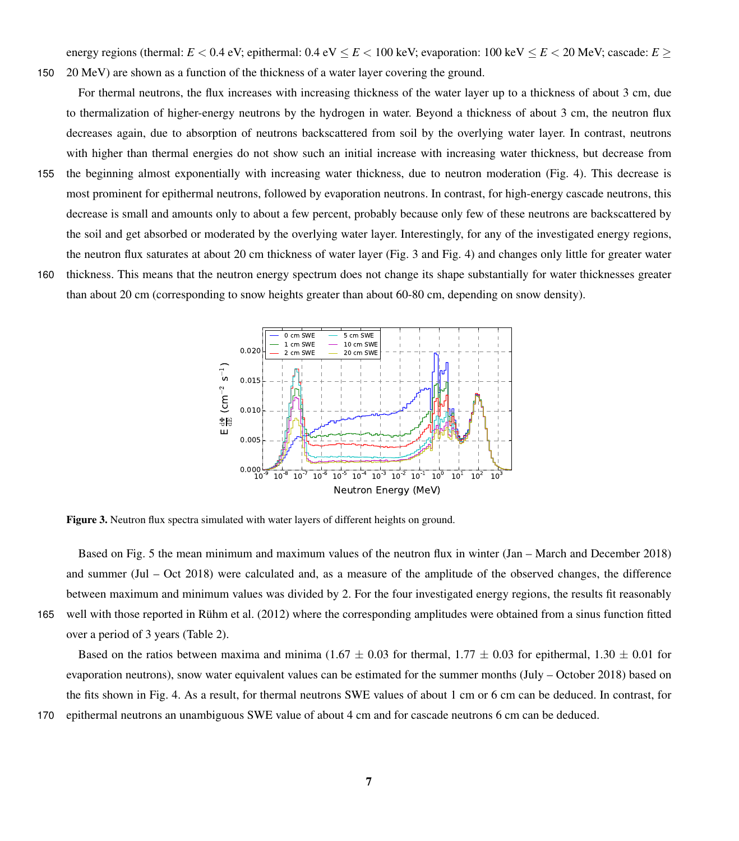energy regions (thermal:  $E < 0.4$  eV; epithermal:  $0.4$  eV  $\le E < 100$  keV; evaporation:  $100$  keV $\le E < 20$  MeV; cascade:  $E >$ 150 20 MeV) are shown as a function of the thickness of a water layer covering the ground.

For thermal neutrons, the flux increases with increasing thickness of the water layer up to a thickness of about 3 cm, due to thermalization of higher-energy neutrons by the hydrogen in water. Beyond a thickness of about 3 cm, the neutron flux decreases again, due to absorption of neutrons backscattered from soil by the overlying water layer. In contrast, neutrons with higher than thermal energies do not show such an initial increase with increasing water thickness, but decrease from

- 155 the beginning almost exponentially with increasing water thickness, due to neutron moderation (Fig. [4\)](#page-7-0). This decrease is most prominent for epithermal neutrons, followed by evaporation neutrons. In contrast, for high-energy cascade neutrons, this decrease is small and amounts only to about a few percent, probably because only few of these neutrons are backscattered by the soil and get absorbed or moderated by the overlying water layer. Interestingly, for any of the investigated energy regions, the neutron flux saturates at about 20 cm thickness of water layer (Fig. [3](#page-6-0) and Fig. [4\)](#page-7-0) and changes only little for greater water
- <span id="page-6-0"></span>160 thickness. This means that the neutron energy spectrum does not change its shape substantially for water thicknesses greater than about 20 cm (corresponding to snow heights greater than about 60-80 cm, depending on snow density).



Figure 3. Neutron flux spectra simulated with water layers of different heights on ground.

Based on Fig. [5](#page-7-1) the mean minimum and maximum values of the neutron flux in winter (Jan – March and December 2018) and summer (Jul – Oct 2018) were calculated and, as a measure of the amplitude of the observed changes, the difference between maximum and minimum values was divided by 2. For the four investigated energy regions, the results fit reasonably 165 well with those reported in [Rühm et al.](#page-17-0) [\(2012\)](#page-17-0) where the corresponding amplitudes were obtained from a sinus function fitted over a period of 3 years (Table [2\)](#page-8-0).

Based on the ratios between maxima and minima (1.67  $\pm$  0.03 for thermal, 1.77  $\pm$  0.03 for epithermal, 1.30  $\pm$  0.01 for evaporation neutrons), snow water equivalent values can be estimated for the summer months (July – October 2018) based on the fits shown in Fig. [4.](#page-7-0) As a result, for thermal neutrons SWE values of about 1 cm or 6 cm can be deduced. In contrast, for 170 epithermal neutrons an unambiguous SWE value of about 4 cm and for cascade neutrons 6 cm can be deduced.

7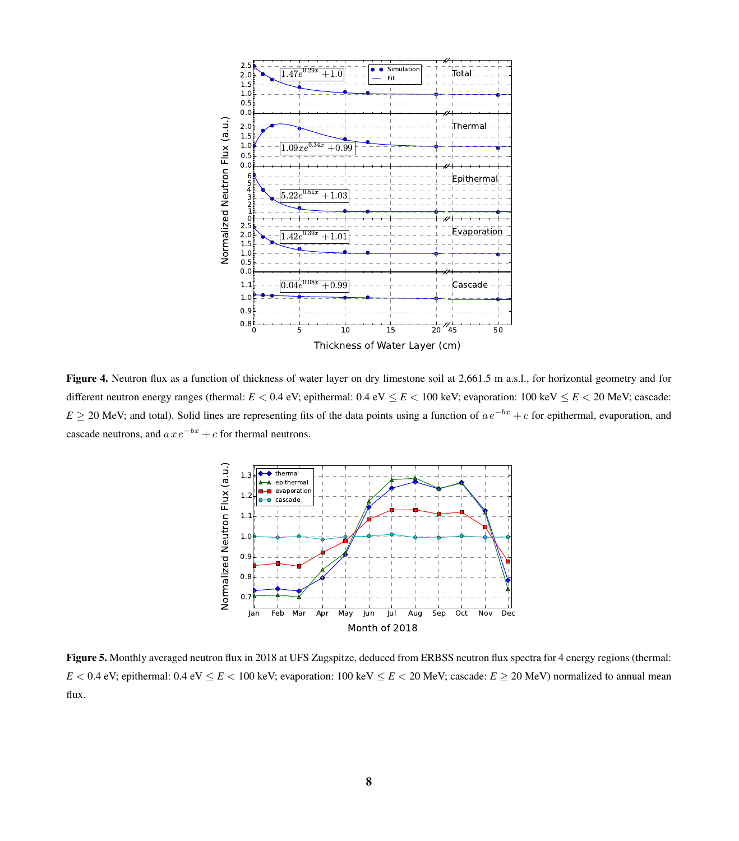<span id="page-7-0"></span>

<span id="page-7-1"></span>Figure 4. Neutron flux as a function of thickness of water layer on dry limestone soil at 2,661.5 m a.s.l., for horizontal geometry and for different neutron energy ranges (thermal:  $E < 0.4$  eV; epithermal:  $0.4$  eV  $\le E < 100$  keV; evaporation:  $100$  keV  $\le E < 20$  MeV; cascade:  $E \ge 20$  MeV; and total). Solid lines are representing fits of the data points using a function of  $ae^{-bx} + c$  for epithermal, evaporation, and cascade neutrons, and  $axe^{-bx} + c$  for thermal neutrons.



Figure 5. Monthly averaged neutron flux in 2018 at UFS Zugspitze, deduced from ERBSS neutron flux spectra for 4 energy regions (thermal:  $E < 0.4$  eV; epithermal:  $0.4$  eV  $\le E < 100$  keV; evaporation:  $100$  keV  $\le E < 20$  MeV; cascade:  $E \ge 20$  MeV) normalized to annual mean flux.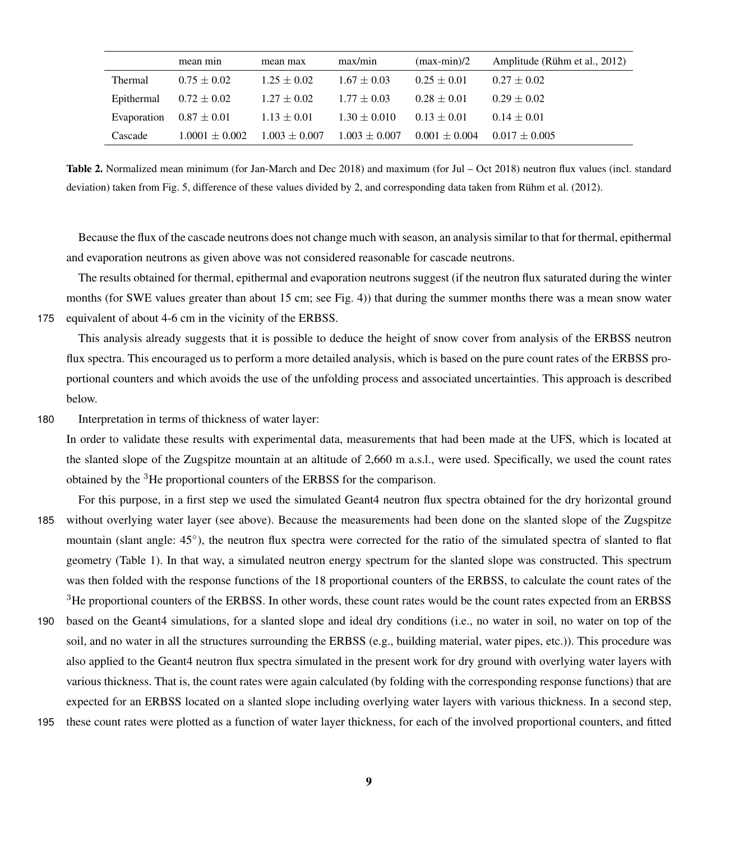<span id="page-8-0"></span>

|             | mean min           | mean max          | max/min           | $(max-min)/2$     | Amplitude (Rühm et al., 2012) |
|-------------|--------------------|-------------------|-------------------|-------------------|-------------------------------|
| Thermal     | $0.75 + 0.02$      | $1.25 + 0.02$     | $1.67 \pm 0.03$   | $0.25 + 0.01$     | $0.27 + 0.02$                 |
| Epithermal  | $0.72 \pm 0.02$    | $1.27 \pm 0.02$   | $1.77 + 0.03$     | $0.28 + 0.01$     | $0.29 + 0.02$                 |
| Evaporation | $0.87\pm0.01$      | $1.13 \pm 0.01$   | $1.30 \pm 0.010$  | $0.13 + 0.01$     | $0.14 + 0.01$                 |
| Cascade     | $1.0001 \pm 0.002$ | $1.003 \pm 0.007$ | $1.003 \pm 0.007$ | $0.001 \pm 0.004$ | $0.017 + 0.005$               |

Table 2. Normalized mean minimum (for Jan-March and Dec 2018) and maximum (for Jul – Oct 2018) neutron flux values (incl. standard deviation) taken from Fig. [5,](#page-7-1) difference of these values divided by 2, and corresponding data taken from [Rühm et al.](#page-17-0) [\(2012\)](#page-17-0).

Because the flux of the cascade neutrons does not change much with season, an analysis similar to that for thermal, epithermal and evaporation neutrons as given above was not considered reasonable for cascade neutrons.

The results obtained for thermal, epithermal and evaporation neutrons suggest (if the neutron flux saturated during the winter months (for SWE values greater than about 15 cm; see Fig. [4\)](#page-7-0)) that during the summer months there was a mean snow water 175 equivalent of about 4-6 cm in the vicinity of the ERBSS.

This analysis already suggests that it is possible to deduce the height of snow cover from analysis of the ERBSS neutron flux spectra. This encouraged us to perform a more detailed analysis, which is based on the pure count rates of the ERBSS proportional counters and which avoids the use of the unfolding process and associated uncertainties. This approach is described below.

180 Interpretation in terms of thickness of water layer:

In order to validate these results with experimental data, measurements that had been made at the UFS, which is located at the slanted slope of the Zugspitze mountain at an altitude of 2,660 m a.s.l., were used. Specifically, we used the count rates obtained by the <sup>3</sup>He proportional counters of the ERBSS for the comparison.

- For this purpose, in a first step we used the simulated Geant4 neutron flux spectra obtained for the dry horizontal ground 185 without overlying water layer (see above). Because the measurements had been done on the slanted slope of the Zugspitze mountain (slant angle: 45°), the neutron flux spectra were corrected for the ratio of the simulated spectra of slanted to flat geometry (Table [1\)](#page-5-0). In that way, a simulated neutron energy spectrum for the slanted slope was constructed. This spectrum was then folded with the response functions of the 18 proportional counters of the ERBSS, to calculate the count rates of the <sup>3</sup>He proportional counters of the ERBSS. In other words, these count rates would be the count rates expected from an ERBSS
- 190 based on the Geant4 simulations, for a slanted slope and ideal dry conditions (i.e., no water in soil, no water on top of the soil, and no water in all the structures surrounding the ERBSS (e.g., building material, water pipes, etc.)). This procedure was also applied to the Geant4 neutron flux spectra simulated in the present work for dry ground with overlying water layers with various thickness. That is, the count rates were again calculated (by folding with the corresponding response functions) that are expected for an ERBSS located on a slanted slope including overlying water layers with various thickness. In a second step,
- 195 these count rates were plotted as a function of water layer thickness, for each of the involved proportional counters, and fitted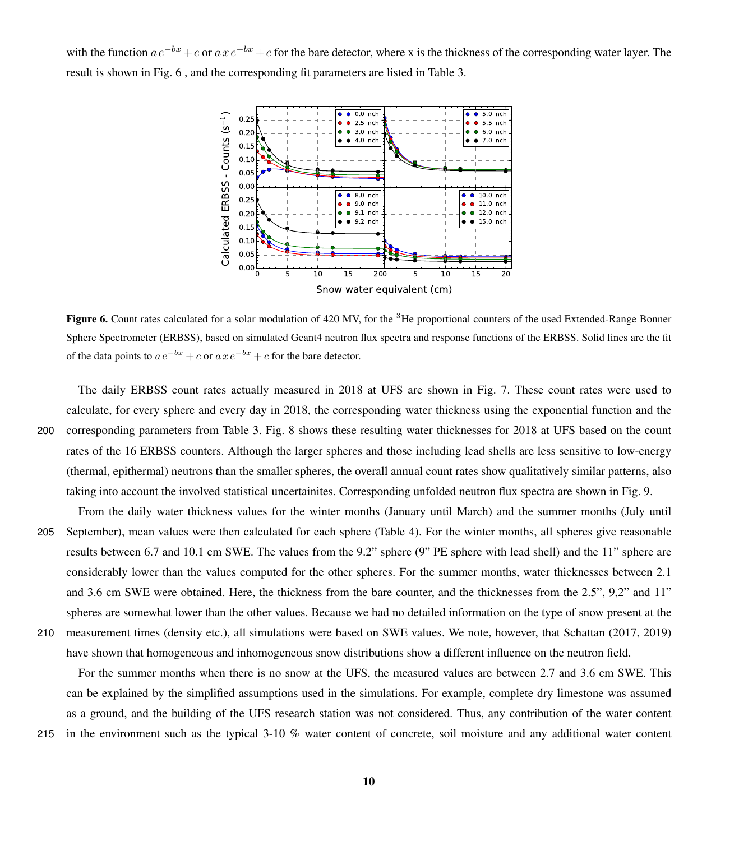<span id="page-9-0"></span>with the function  $ae^{-bx}+c$  or  $axe^{-bx}+c$  for the bare detector, where x is the thickness of the corresponding water layer. The result is shown in Fig. [6](#page-9-0) , and the corresponding fit parameters are listed in Table [3.](#page-10-0)



Figure 6. Count rates calculated for a solar modulation of 420 MV, for the <sup>3</sup>He proportional counters of the used Extended-Range Bonner Sphere Spectrometer (ERBSS), based on simulated Geant4 neutron flux spectra and response functions of the ERBSS. Solid lines are the fit of the data points to  $ae^{-bx} + c$  or  $axe^{-bx} + c$  for the bare detector.

The daily ERBSS count rates actually measured in 2018 at UFS are shown in Fig. [7.](#page-11-0) These count rates were used to calculate, for every sphere and every day in 2018, the corresponding water thickness using the exponential function and the 200 corresponding parameters from Table [3.](#page-10-0) Fig. [8](#page-12-0) shows these resulting water thicknesses for 2018 at UFS based on the count rates of the 16 ERBSS counters. Although the larger spheres and those including lead shells are less sensitive to low-energy (thermal, epithermal) neutrons than the smaller spheres, the overall annual count rates show qualitatively similar patterns, also taking into account the involved statistical uncertainites. Corresponding unfolded neutron flux spectra are shown in Fig. [9.](#page-12-1)

From the daily water thickness values for the winter months (January until March) and the summer months (July until 205 September), mean values were then calculated for each sphere (Table [4\)](#page-13-0). For the winter months, all spheres give reasonable results between 6.7 and 10.1 cm SWE. The values from the 9.2" sphere (9" PE sphere with lead shell) and the 11" sphere are considerably lower than the values computed for the other spheres. For the summer months, water thicknesses between 2.1 and 3.6 cm SWE were obtained. Here, the thickness from the bare counter, and the thicknesses from the 2.5", 9,2" and 11" spheres are somewhat lower than the other values. Because we had no detailed information on the type of snow present at the 210 measurement times (density etc.), all simulations were based on SWE values. We note, however, that Schattan (2017, 2019) have shown that homogeneous and inhomogeneous snow distributions show a different influence on the neutron field.

For the summer months when there is no snow at the UFS, the measured values are between 2.7 and 3.6 cm SWE. This can be explained by the simplified assumptions used in the simulations. For example, complete dry limestone was assumed as a ground, and the building of the UFS research station was not considered. Thus, any contribution of the water content 215 in the environment such as the typical 3-10 % water content of concrete, soil moisture and any additional water content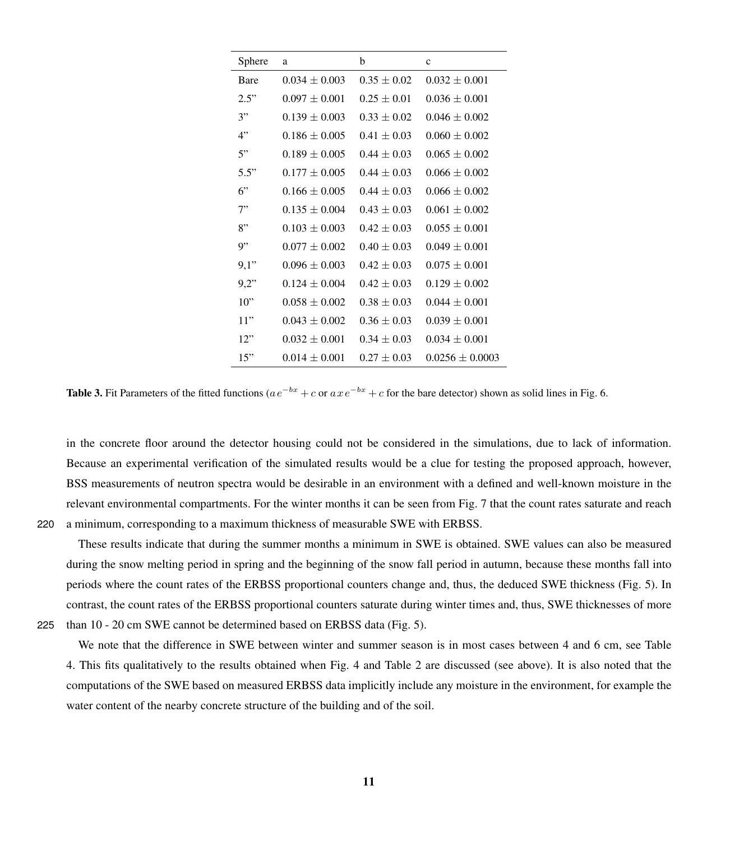<span id="page-10-0"></span>

| Sphere      | a               | b               | $\mathbf c$       |
|-------------|-----------------|-----------------|-------------------|
| <b>Bare</b> | $0.034 + 0.003$ | $0.35 + 0.02$   | $0.032 + 0.001$   |
| 2.5"        | $0.097 + 0.001$ | $0.25 + 0.01$   | $0.036 + 0.001$   |
| 3"          | $0.139 + 0.003$ | $0.33 + 0.02$   | $0.046 + 0.002$   |
| 4"          | $0.186 + 0.005$ | $0.41 + 0.03$   | $0.060 + 0.002$   |
| 5"          | $0.189 + 0.005$ | $0.44 + 0.03$   | $0.065 + 0.002$   |
| 5.5"        | $0.177 + 0.005$ | $0.44 + 0.03$   | $0.066 + 0.002$   |
| 6"          | $0.166 + 0.005$ | $0.44 + 0.03$   | $0.066 + 0.002$   |
| 7"          | $0.135 + 0.004$ | $0.43 + 0.03$   | $0.061 + 0.002$   |
| 8"          | $0.103 + 0.003$ | $0.42 \pm 0.03$ | $0.055 + 0.001$   |
| 9"          | $0.077 + 0.002$ | $0.40 + 0.03$   | $0.049 + 0.001$   |
| 9,1"        | $0.096 + 0.003$ | $0.42 + 0.03$   | $0.075 + 0.001$   |
| 9.2"        | $0.124 + 0.004$ | $0.42 \pm 0.03$ | $0.129 + 0.002$   |
| 10"         | $0.058 + 0.002$ | $0.38 + 0.03$   | $0.044 + 0.001$   |
| 11"         | $0.043 + 0.002$ | $0.36 \pm 0.03$ | $0.039 + 0.001$   |
| 12"         | $0.032 + 0.001$ | $0.34 + 0.03$   | $0.034 + 0.001$   |
| 15"         | $0.014 + 0.001$ | $0.27 + 0.03$   | $0.0256 + 0.0003$ |

**Table 3.** Fit Parameters of the fitted functions ( $ae^{-bx} + c$  or  $axe^{-bx} + c$  for the bare detector) shown as solid lines in Fig. [6.](#page-9-0)

in the concrete floor around the detector housing could not be considered in the simulations, due to lack of information. Because an experimental verification of the simulated results would be a clue for testing the proposed approach, however, BSS measurements of neutron spectra would be desirable in an environment with a defined and well-known moisture in the relevant environmental compartments. For the winter months it can be seen from Fig. [7](#page-11-0) that the count rates saturate and reach 220 a minimum, corresponding to a maximum thickness of measurable SWE with ERBSS.

These results indicate that during the summer months a minimum in SWE is obtained. SWE values can also be measured during the snow melting period in spring and the beginning of the snow fall period in autumn, because these months fall into periods where the count rates of the ERBSS proportional counters change and, thus, the deduced SWE thickness (Fig. [5\)](#page-7-1). In contrast, the count rates of the ERBSS proportional counters saturate during winter times and, thus, SWE thicknesses of more 225 than 10 - 20 cm SWE cannot be determined based on ERBSS data (Fig. [5\)](#page-7-1).

We note that the difference in SWE between winter and summer season is in most cases between 4 and 6 cm, see Table [4.](#page-13-0) This fits qualitatively to the results obtained when Fig. [4](#page-7-0) and Table [2](#page-8-0) are discussed (see above). It is also noted that the computations of the SWE based on measured ERBSS data implicitly include any moisture in the environment, for example the water content of the nearby concrete structure of the building and of the soil.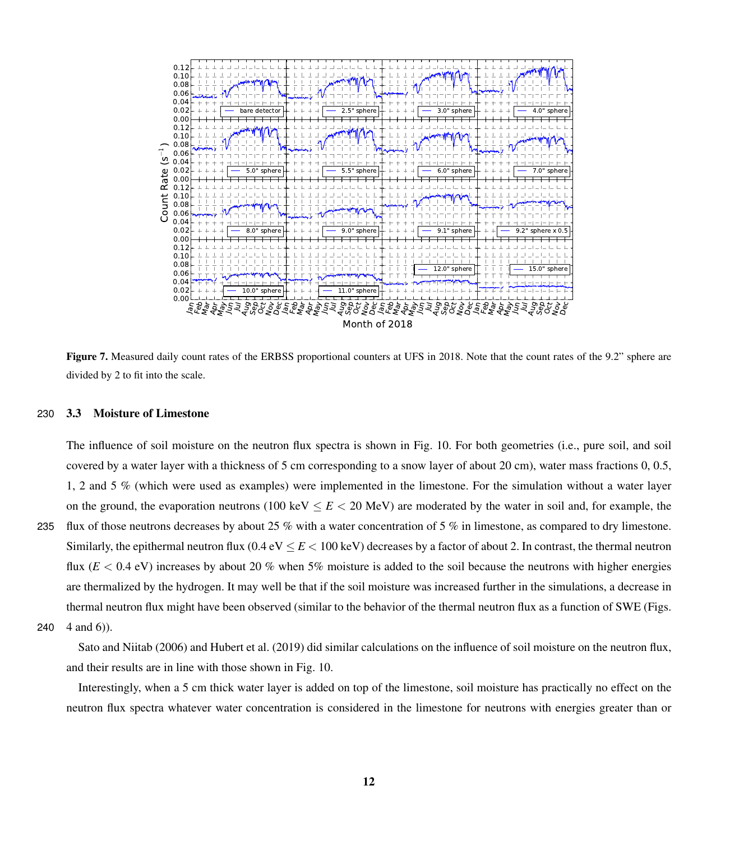<span id="page-11-0"></span>

Figure 7. Measured daily count rates of the ERBSS proportional counters at UFS in 2018. Note that the count rates of the 9.2" sphere are divided by 2 to fit into the scale.

## 230 3.3 Moisture of Limestone

The influence of soil moisture on the neutron flux spectra is shown in Fig. [10.](#page-14-0) For both geometries (i.e., pure soil, and soil covered by a water layer with a thickness of 5 cm corresponding to a snow layer of about 20 cm), water mass fractions 0, 0.5, 1, 2 and 5 % (which were used as examples) were implemented in the limestone. For the simulation without a water layer on the ground, the evaporation neutrons (100 keV  $\leq E < 20$  MeV) are moderated by the water in soil and, for example, the 235 flux of those neutrons decreases by about 25 % with a water concentration of 5 % in limestone, as compared to dry limestone. Similarly, the epithermal neutron flux  $(0.4 \text{ eV} \leq E < 100 \text{ keV})$  decreases by a factor of about 2. In contrast, the thermal neutron flux  $(E < 0.4$  eV) increases by about 20 % when 5% moisture is added to the soil because the neutrons with higher energies are thermalized by the hydrogen. It may well be that if the soil moisture was increased further in the simulations, a decrease in thermal neutron flux might have been observed (similar to the behavior of the thermal neutron flux as a function of SWE (Figs.

2[4](#page-7-0)0  $4$  and [6\)](#page-9-0)).

[Sato and Niitab](#page-17-4) [\(2006\)](#page-17-4) and [Hubert et al.](#page-16-18) [\(2019\)](#page-16-18) did similar calculations on the influence of soil moisture on the neutron flux, and their results are in line with those shown in Fig. [10.](#page-14-0)

Interestingly, when a 5 cm thick water layer is added on top of the limestone, soil moisture has practically no effect on the neutron flux spectra whatever water concentration is considered in the limestone for neutrons with energies greater than or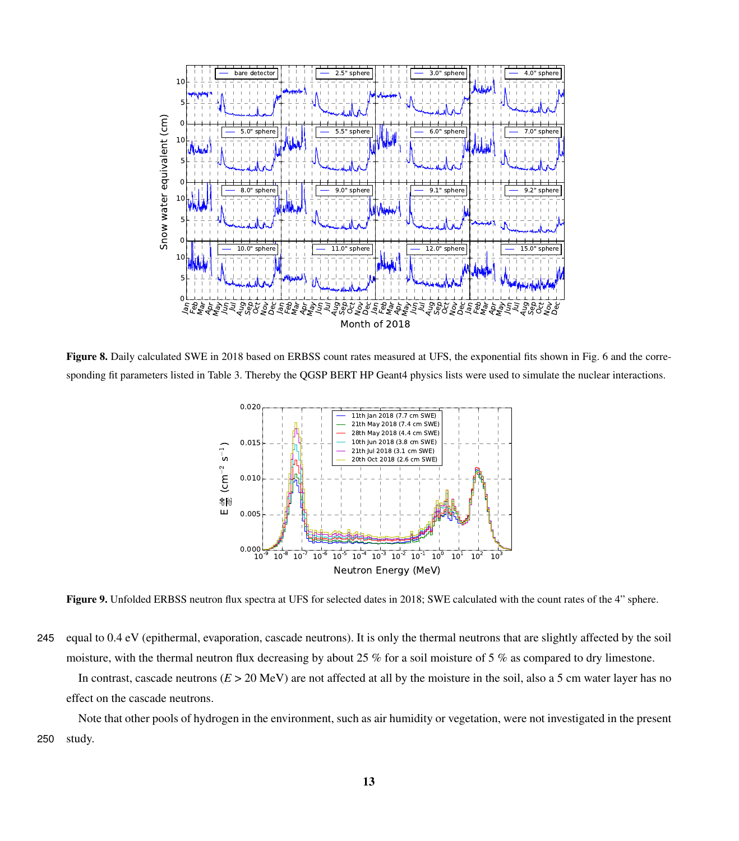<span id="page-12-0"></span>

<span id="page-12-1"></span>Figure 8. Daily calculated SWE in 2018 based on ERBSS count rates measured at UFS, the exponential fits shown in Fig. [6](#page-9-0) and the corresponding fit parameters listed in Table [3.](#page-10-0) Thereby the QGSP BERT HP Geant4 physics lists were used to simulate the nuclear interactions.



Figure 9. Unfolded ERBSS neutron flux spectra at UFS for selected dates in 2018; SWE calculated with the count rates of the 4" sphere.

245 equal to 0.4 eV (epithermal, evaporation, cascade neutrons). It is only the thermal neutrons that are slightly affected by the soil moisture, with the thermal neutron flux decreasing by about 25 % for a soil moisture of 5 % as compared to dry limestone. In contrast, cascade neutrons  $(E > 20 \text{ MeV})$  are not affected at all by the moisture in the soil, also a 5 cm water layer has no effect on the cascade neutrons.

Note that other pools of hydrogen in the environment, such as air humidity or vegetation, were not investigated in the present 250 study.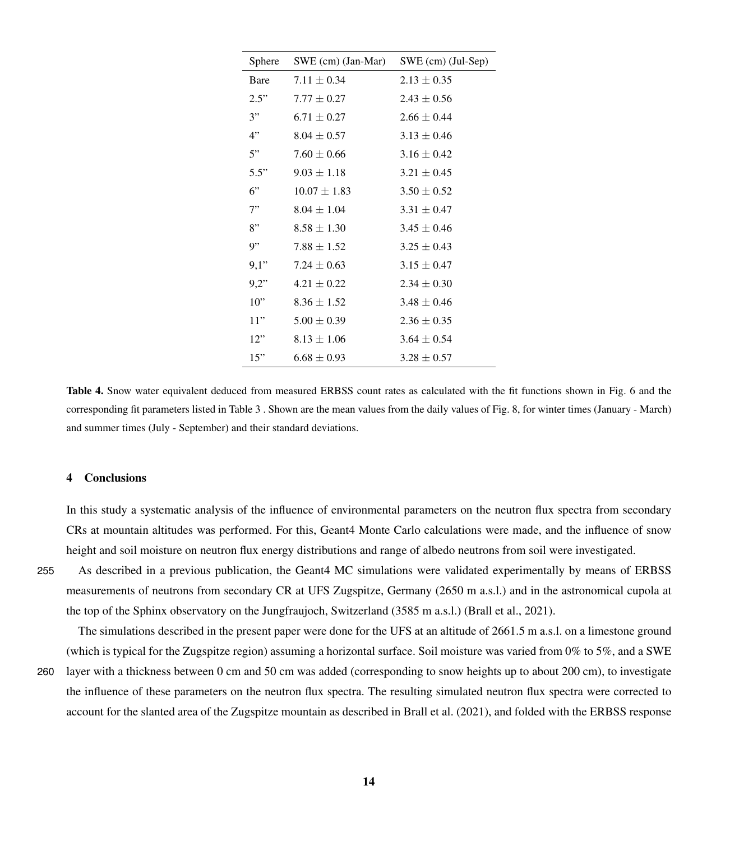<span id="page-13-0"></span>

| Sphere | SWE (cm) (Jan-Mar) | $SWE$ (cm) (Jul-Sep) |
|--------|--------------------|----------------------|
| Bare   | $7.11 \pm 0.34$    | $2.13 \pm 0.35$      |
| 2.5"   | $7.77 + 0.27$      | $2.43 \pm 0.56$      |
| 3"     | $6.71 \pm 0.27$    | $2.66 + 0.44$        |
| 4"     | $8.04 + 0.57$      | $3.13 \pm 0.46$      |
| 5"     | $7.60 \pm 0.66$    | $3.16 \pm 0.42$      |
| 5.5"   | $9.03 \pm 1.18$    | $3.21 \pm 0.45$      |
| 6"     | $10.07 + 1.83$     | $3.50 \pm 0.52$      |
| 7"     | $8.04 \pm 1.04$    | $3.31 \pm 0.47$      |
| 8"     | $8.58 \pm 1.30$    | $3.45 \pm 0.46$      |
| 9"     | $7.88 + 1.52$      | $3.25 \pm 0.43$      |
| 9,1"   | $7.24 \pm 0.63$    | $3.15 \pm 0.47$      |
| 9.2"   | $4.21 \pm 0.22$    | $2.34 + 0.30$        |
| 10"    | $8.36 + 1.52$      | $3.48 + 0.46$        |
| 11"    | $5.00 \pm 0.39$    | $2.36 \pm 0.35$      |
| 12"    | $8.13 \pm 1.06$    | $3.64 + 0.54$        |
| 15"    | $6.68 + 0.93$      | $3.28 + 0.57$        |

Table 4. Snow water equivalent deduced from measured ERBSS count rates as calculated with the fit functions shown in Fig. [6](#page-9-0) and the corresponding fit parameters listed in Table [3](#page-10-0) . Shown are the mean values from the daily values of Fig. [8,](#page-12-0) for winter times (January - March) and summer times (July - September) and their standard deviations.

#### 4 Conclusions

In this study a systematic analysis of the influence of environmental parameters on the neutron flux spectra from secondary CRs at mountain altitudes was performed. For this, Geant4 Monte Carlo calculations were made, and the influence of snow height and soil moisture on neutron flux energy distributions and range of albedo neutrons from soil were investigated.

255 As described in a previous publication, the Geant4 MC simulations were validated experimentally by means of ERBSS measurements of neutrons from secondary CR at UFS Zugspitze, Germany (2650 m a.s.l.) and in the astronomical cupola at the top of the Sphinx observatory on the Jungfraujoch, Switzerland (3585 m a.s.l.) [\(Brall et al., 2021\)](#page-16-12).

The simulations described in the present paper were done for the UFS at an altitude of 2661.5 m a.s.l. on a limestone ground (which is typical for the Zugspitze region) assuming a horizontal surface. Soil moisture was varied from 0% to 5%, and a SWE

260 layer with a thickness between 0 cm and 50 cm was added (corresponding to snow heights up to about 200 cm), to investigate the influence of these parameters on the neutron flux spectra. The resulting simulated neutron flux spectra were corrected to account for the slanted area of the Zugspitze mountain as described in [Brall et al.](#page-16-12) [\(2021\)](#page-16-12), and folded with the ERBSS response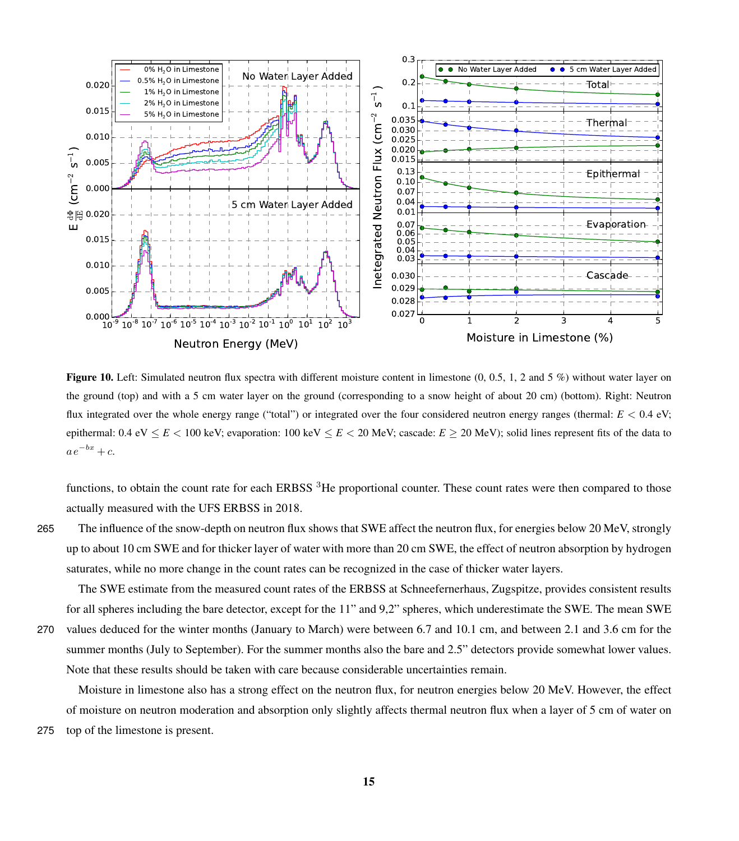<span id="page-14-0"></span>

**Figure 10.** Left: Simulated neutron flux spectra with different moisture content in limestone  $(0, 0.5, 1, 2, 2, 5)$  without water layer on the ground (top) and with a 5 cm water layer on the ground (corresponding to a snow height of about 20 cm) (bottom). Right: Neutron flux integrated over the whole energy range ("total") or integrated over the four considered neutron energy ranges (thermal:  $E < 0.4$  eV; epithermal: 0.4 eV  $\le E < 100$  keV; evaporation: 100 keV  $\le E < 20$  MeV; cascade:  $E \ge 20$  MeV); solid lines represent fits of the data to  $a e^{-bx} + c.$ 

functions, to obtain the count rate for each ERBSS  ${}^{3}$ He proportional counter. These count rates were then compared to those actually measured with the UFS ERBSS in 2018.

265 The influence of the snow-depth on neutron flux shows that SWE affect the neutron flux, for energies below 20 MeV, strongly up to about 10 cm SWE and for thicker layer of water with more than 20 cm SWE, the effect of neutron absorption by hydrogen saturates, while no more change in the count rates can be recognized in the case of thicker water layers.

The SWE estimate from the measured count rates of the ERBSS at Schneefernerhaus, Zugspitze, provides consistent results

for all spheres including the bare detector, except for the 11" and 9,2" spheres, which underestimate the SWE. The mean SWE 270 values deduced for the winter months (January to March) were between 6.7 and 10.1 cm, and between 2.1 and 3.6 cm for the summer months (July to September). For the summer months also the bare and 2.5" detectors provide somewhat lower values. Note that these results should be taken with care because considerable uncertainties remain.

Moisture in limestone also has a strong effect on the neutron flux, for neutron energies below 20 MeV. However, the effect of moisture on neutron moderation and absorption only slightly affects thermal neutron flux when a layer of 5 cm of water on 275 top of the limestone is present.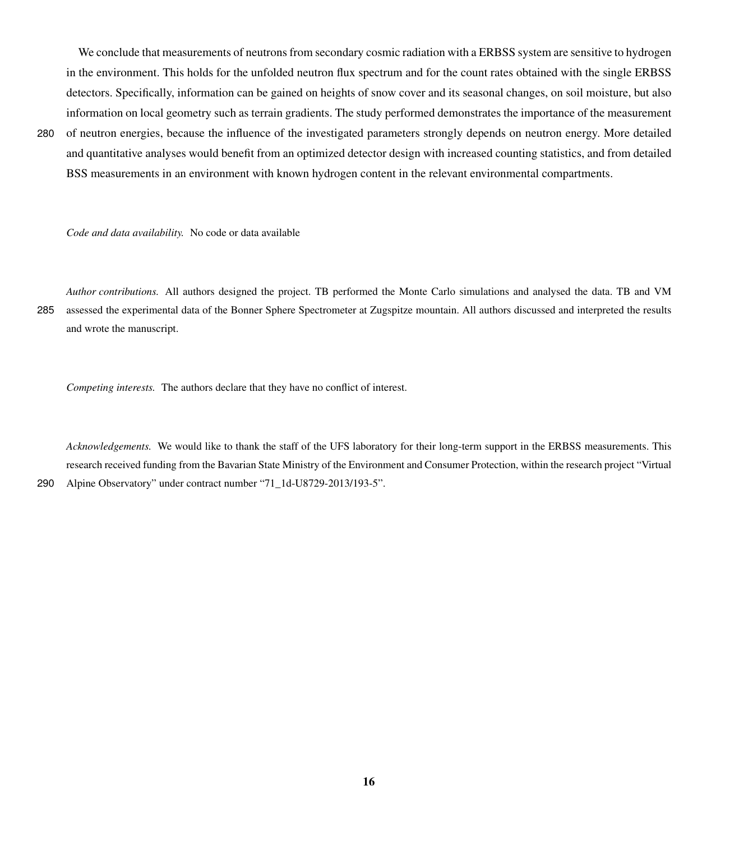We conclude that measurements of neutrons from secondary cosmic radiation with a ERBSS system are sensitive to hydrogen in the environment. This holds for the unfolded neutron flux spectrum and for the count rates obtained with the single ERBSS detectors. Specifically, information can be gained on heights of snow cover and its seasonal changes, on soil moisture, but also information on local geometry such as terrain gradients. The study performed demonstrates the importance of the measurement

280 of neutron energies, because the influence of the investigated parameters strongly depends on neutron energy. More detailed and quantitative analyses would benefit from an optimized detector design with increased counting statistics, and from detailed BSS measurements in an environment with known hydrogen content in the relevant environmental compartments.

*Code and data availability.* No code or data available

*Author contributions.* All authors designed the project. TB performed the Monte Carlo simulations and analysed the data. TB and VM 285 assessed the experimental data of the Bonner Sphere Spectrometer at Zugspitze mountain. All authors discussed and interpreted the results and wrote the manuscript.

*Competing interests.* The authors declare that they have no conflict of interest.

*Acknowledgements.* We would like to thank the staff of the UFS laboratory for their long-term support in the ERBSS measurements. This research received funding from the Bavarian State Ministry of the Environment and Consumer Protection, within the research project "Virtual 290 Alpine Observatory" under contract number "71\_1d-U8729-2013/193-5".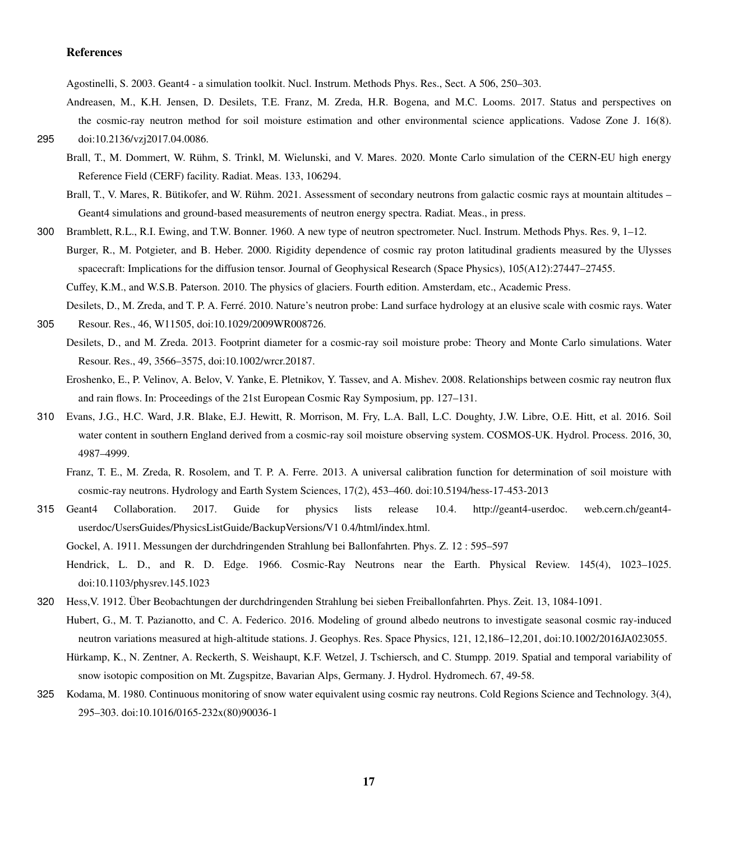## References

Agostinelli, S. 2003. Geant4 - a simulation toolkit. Nucl. Instrum. Methods Phys. Res., Sect. A 506, 250–303.

- <span id="page-16-8"></span><span id="page-16-5"></span>Andreasen, M., K.H. Jensen, D. Desilets, T.E. Franz, M. Zreda, H.R. Bogena, and M.C. Looms. 2017. Status and perspectives on the cosmic-ray neutron method for soil moisture estimation and other environmental science applications. Vadose Zone J. 16(8). 295 doi:10.2136/vzj2017.04.0086.
- <span id="page-16-17"></span><span id="page-16-12"></span>
	- Brall, T., M. Dommert, W. Rühm, S. Trinkl, M. Wielunski, and V. Mares. 2020. Monte Carlo simulation of the CERN-EU high energy Reference Field (CERF) facility. Radiat. Meas. 133, 106294.
		- Brall, T., V. Mares, R. Bütikofer, and W. Rühm. 2021. Assessment of secondary neutrons from galactic cosmic rays at mountain altitudes Geant4 simulations and ground-based measurements of neutron energy spectra. Radiat. Meas., in press.
- <span id="page-16-14"></span><span id="page-16-11"></span>300 Bramblett, R.L., R.I. Ewing, and T.W. Bonner. 1960. A new type of neutron spectrometer. Nucl. Instrum. Methods Phys. Res. 9, 1–12. Burger, R., M. Potgieter, and B. Heber. 2000. Rigidity dependence of cosmic ray proton latitudinal gradients measured by the Ulysses spacecraft: Implications for the diffusion tensor. Journal of Geophysical Research (Space Physics), 105(A12):27447–27455. Cuffey, K.M., and W.S.B. Paterson. 2010. The physics of glaciers. Fourth edition. Amsterdam, etc., Academic Press.
- <span id="page-16-16"></span><span id="page-16-6"></span><span id="page-16-3"></span>Desilets, D., M. Zreda, and T. P. A. Ferré. 2010. Nature's neutron probe: Land surface hydrology at an elusive scale with cosmic rays. Water 305 Resour. Res., 46, W11505, doi:10.1029/2009WR008726.
	- Desilets, D., and M. Zreda. 2013. Footprint diameter for a cosmic-ray soil moisture probe: Theory and Monte Carlo simulations. Water Resour. Res., 49, 3566–3575, doi:10.1002/wrcr.20187.
	- Eroshenko, E., P. Velinov, A. Belov, V. Yanke, E. Pletnikov, Y. Tassev, and A. Mishev. 2008. Relationships between cosmic ray neutron flux and rain flows. In: Proceedings of the 21st European Cosmic Ray Symposium, pp. 127–131.
- <span id="page-16-7"></span><span id="page-16-4"></span><span id="page-16-1"></span>310 Evans, J.G., H.C. Ward, J.R. Blake, E.J. Hewitt, R. Morrison, M. Fry, L.A. Ball, L.C. Doughty, J.W. Libre, O.E. Hitt, et al. 2016. Soil water content in southern England derived from a cosmic-ray soil moisture observing system. COSMOS-UK. Hydrol. Process. 2016, 30, 4987–4999.
	- Franz, T. E., M. Zreda, R. Rosolem, and T. P. A. Ferre. 2013. A universal calibration function for determination of soil moisture with cosmic-ray neutrons. Hydrology and Earth System Sciences, 17(2), 453–460. doi:10.5194/hess-17-453-2013
- <span id="page-16-13"></span><span id="page-16-10"></span>315 Geant4 Collaboration. 2017. Guide for physics lists release 10.4. http://geant4-userdoc. web.cern.ch/geant4 userdoc/UsersGuides/PhysicsListGuide/BackupVersions/V1 0.4/html/index.html.

Gockel, A. 1911. Messungen der durchdringenden Strahlung bei Ballonfahrten. Phys. Z. 12 : 595–597

- <span id="page-16-2"></span>Hendrick, L. D., and R. D. Edge. 1966. Cosmic-Ray Neutrons near the Earth. Physical Review. 145(4), 1023–1025. doi:10.1103/physrev.145.1023
- <span id="page-16-18"></span><span id="page-16-15"></span><span id="page-16-9"></span>320 Hess,V. 1912. Über Beobachtungen der durchdringenden Strahlung bei sieben Freiballonfahrten. Phys. Zeit. 13, 1084-1091. Hubert, G., M. T. Pazianotto, and C. A. Federico. 2016. Modeling of ground albedo neutrons to investigate seasonal cosmic ray-induced neutron variations measured at high-altitude stations. J. Geophys. Res. Space Physics, 121, 12,186–12,201, doi:10.1002/2016JA023055.
	- Hürkamp, K., N. Zentner, A. Reckerth, S. Weishaupt, K.F. Wetzel, J. Tschiersch, and C. Stumpp. 2019. Spatial and temporal variability of snow isotopic composition on Mt. Zugspitze, Bavarian Alps, Germany. J. Hydrol. Hydromech. 67, 49-58.
- <span id="page-16-0"></span>325 Kodama, M. 1980. Continuous monitoring of snow water equivalent using cosmic ray neutrons. Cold Regions Science and Technology. 3(4), 295–303. doi:10.1016/0165-232x(80)90036-1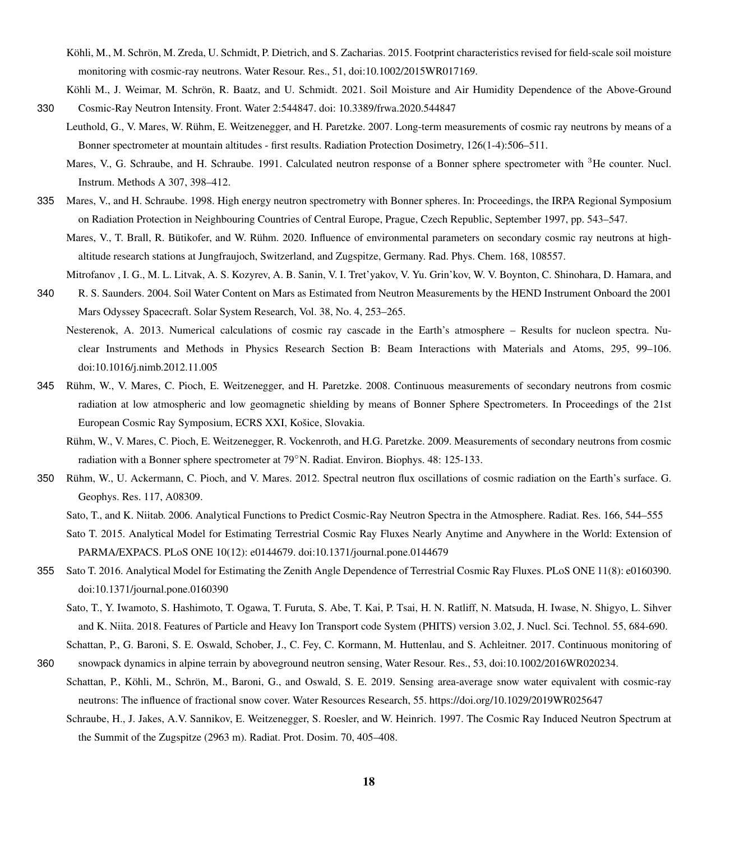- <span id="page-17-3"></span>Köhli, M., M. Schrön, M. Zreda, U. Schmidt, P. Dietrich, and S. Zacharias. 2015. Footprint characteristics revised for field-scale soil moisture monitoring with cosmic-ray neutrons. Water Resour. Res., 51, doi:10.1002/2015WR017169.
- <span id="page-17-11"></span><span id="page-17-2"></span>Köhli M., J. Weimar, M. Schrön, R. Baatz, and U. Schmidt. 2021. Soil Moisture and Air Humidity Dependence of the Above-Ground 330 Cosmic-Ray Neutron Intensity. Front. Water 2:544847. doi: 10.3389/frwa.2020.544847
	- Leuthold, G., V. Mares, W. Rühm, E. Weitzenegger, and H. Paretzke. 2007. Long-term measurements of cosmic ray neutrons by means of a Bonner spectrometer at mountain altitudes - first results. Radiation Protection Dosimetry, 126(1-4):506–511.
		- Mares, V., G. Schraube, and H. Schraube. 1991. Calculated neutron response of a Bonner sphere spectrometer with <sup>3</sup>He counter. Nucl. Instrum. Methods A 307, 398–412.
- <span id="page-17-14"></span><span id="page-17-13"></span><span id="page-17-10"></span>335 Mares, V., and H. Schraube. 1998. High energy neutron spectrometry with Bonner spheres. In: Proceedings, the IRPA Regional Symposium on Radiation Protection in Neighbouring Countries of Central Europe, Prague, Czech Republic, September 1997, pp. 543–547.
	- Mares, V., T. Brall, R. Bütikofer, and W. Rühm. 2020. Influence of environmental parameters on secondary cosmic ray neutrons at highaltitude research stations at Jungfraujoch, Switzerland, and Zugspitze, Germany. Rad. Phys. Chem. 168, 108557.
	- Mitrofanov , I. G., M. L. Litvak, A. S. Kozyrev, A. B. Sanin, V. I. Tret'yakov, V. Yu. Grin'kov, W. V. Boynton, C. Shinohara, D. Hamara, and
- <span id="page-17-8"></span><span id="page-17-1"></span>340 R. S. Saunders. 2004. Soil Water Content on Mars as Estimated from Neutron Measurements by the HEND Instrument Onboard the 2001 Mars Odyssey Spacecraft. Solar System Research, Vol. 38, No. 4, 253–265.
	- Nesterenok, A. 2013. Numerical calculations of cosmic ray cascade in the Earth's atmosphere Results for nucleon spectra. Nuclear Instruments and Methods in Physics Research Section B: Beam Interactions with Materials and Atoms, 295, 99–106. doi:10.1016/j.nimb.2012.11.005
- <span id="page-17-12"></span>345 Rühm, W., V. Mares, C. Pioch, E. Weitzenegger, and H. Paretzke. 2008. Continuous measurements of secondary neutrons from cosmic radiation at low atmospheric and low geomagnetic shielding by means of Bonner Sphere Spectrometers. In Proceedings of the 21st European Cosmic Ray Symposium, ECRS XXI, Košice, Slovakia.
	- Rühm, W., V. Mares, C. Pioch, E. Weitzenegger, R. Vockenroth, and H.G. Paretzke. 2009. Measurements of secondary neutrons from cosmic radiation with a Bonner sphere spectrometer at 79◦N. Radiat. Environ. Biophys. 48: 125-133.
- <span id="page-17-5"></span><span id="page-17-4"></span><span id="page-17-0"></span>350 Rühm, W., U. Ackermann, C. Pioch, and V. Mares. 2012. Spectral neutron flux oscillations of cosmic radiation on the Earth's surface. G. Geophys. Res. 117, A08309.
	- Sato, T., and K. Niitab. 2006. Analytical Functions to Predict Cosmic-Ray Neutron Spectra in the Atmosphere. Radiat. Res. 166, 544–555
	- Sato T. 2015. Analytical Model for Estimating Terrestrial Cosmic Ray Fluxes Nearly Anytime and Anywhere in the World: Extension of PARMA/EXPACS. PLoS ONE 10(12): e0144679. doi:10.1371/journal.pone.0144679
- <span id="page-17-7"></span><span id="page-17-6"></span>355 Sato T. 2016. Analytical Model for Estimating the Zenith Angle Dependence of Terrestrial Cosmic Ray Fluxes. PLoS ONE 11(8): e0160390. doi:10.1371/journal.pone.0160390
	- Sato, T., Y. Iwamoto, S. Hashimoto, T. Ogawa, T. Furuta, S. Abe, T. Kai, P. Tsai, H. N. Ratliff, N. Matsuda, H. Iwase, N. Shigyo, L. Sihver and K. Niita. 2018. Features of Particle and Heavy Ion Transport code System (PHITS) version 3.02, J. Nucl. Sci. Technol. 55, 684-690.
- <span id="page-17-9"></span>Schattan, P., G. Baroni, S. E. Oswald, Schober, J., C. Fey, C. Kormann, M. Huttenlau, and S. Achleitner. 2017. Continuous monitoring of 360 snowpack dynamics in alpine terrain by aboveground neutron sensing, Water Resour. Res., 53, doi:10.1002/2016WR020234.
	- Schattan, P., Köhli, M., Schrön, M., Baroni, G., and Oswald, S. E. 2019. Sensing area-average snow water equivalent with cosmic-ray neutrons: The influence of fractional snow cover. Water Resources Research, 55. https://doi.org/10.1029/2019WR025647
		- Schraube, H., J. Jakes, A.V. Sannikov, E. Weitzenegger, S. Roesler, and W. Heinrich. 1997. The Cosmic Ray Induced Neutron Spectrum at the Summit of the Zugspitze (2963 m). Radiat. Prot. Dosim. 70, 405–408.